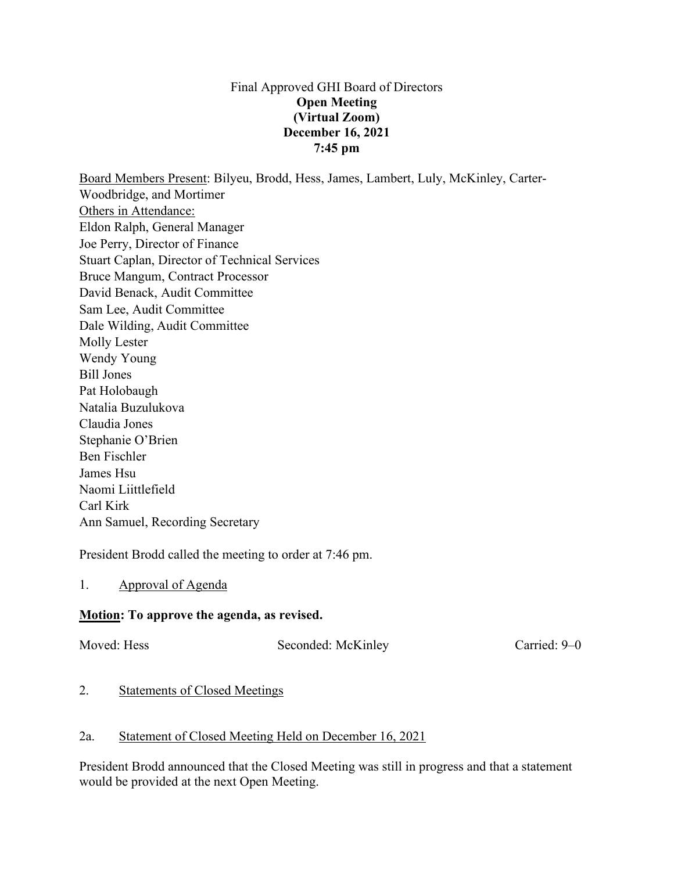#### Final Approved GHI Board of Directors **Open Meeting (Virtual Zoom) December 16, 2021 7:45 pm**

Board Members Present: Bilyeu, Brodd, Hess, James, Lambert, Luly, McKinley, Carter-Woodbridge, and Mortimer Others in Attendance: Eldon Ralph, General Manager Joe Perry, Director of Finance Stuart Caplan, Director of Technical Services Bruce Mangum, Contract Processor David Benack, Audit Committee Sam Lee, Audit Committee Dale Wilding, Audit Committee Molly Lester Wendy Young Bill Jones Pat Holobaugh Natalia Buzulukova Claudia Jones Stephanie O'Brien Ben Fischler James Hsu Naomi Liittlefield Carl Kirk Ann Samuel, Recording Secretary

President Brodd called the meeting to order at 7:46 pm.

1. Approval of Agenda

## **Motion: To approve the agenda, as revised.**

Moved: Hess Seconded: McKinley Carried: 9–0

#### 2. Statements of Closed Meetings

#### 2a. Statement of Closed Meeting Held on December 16, 2021

President Brodd announced that the Closed Meeting was still in progress and that a statement would be provided at the next Open Meeting.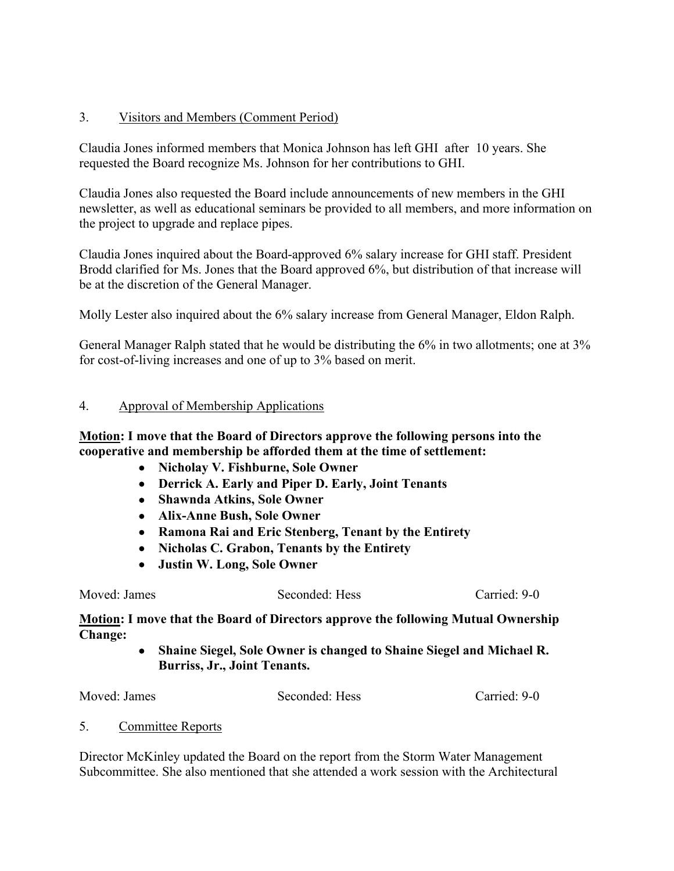## 3. Visitors and Members (Comment Period)

Claudia Jones informed members that Monica Johnson has left GHI after 10 years. She requested the Board recognize Ms. Johnson for her contributions to GHI.

Claudia Jones also requested the Board include announcements of new members in the GHI newsletter, as well as educational seminars be provided to all members, and more information on the project to upgrade and replace pipes.

Claudia Jones inquired about the Board-approved 6% salary increase for GHI staff. President Brodd clarified for Ms. Jones that the Board approved 6%, but distribution of that increase will be at the discretion of the General Manager.

Molly Lester also inquired about the 6% salary increase from General Manager, Eldon Ralph.

General Manager Ralph stated that he would be distributing the 6% in two allotments; one at 3% for cost-of-living increases and one of up to 3% based on merit.

#### 4. Approval of Membership Applications

**Motion: I move that the Board of Directors approve the following persons into the cooperative and membership be afforded them at the time of settlement:**

- **Nicholay V. Fishburne, Sole Owner**
- **Derrick A. Early and Piper D. Early, Joint Tenants**
- **Shawnda Atkins, Sole Owner**
- **Alix-Anne Bush, Sole Owner**
- **Ramona Rai and Eric Stenberg, Tenant by the Entirety**
- **Nicholas C. Grabon, Tenants by the Entirety**
- **Justin W. Long, Sole Owner**

Moved: James Seconded: Hess Carried: 9-0

**Motion: I move that the Board of Directors approve the following Mutual Ownership Change:**

> • **Shaine Siegel, Sole Owner is changed to Shaine Siegel and Michael R. Burriss, Jr., Joint Tenants.**

| Moved: James | Seconded: Hess | Carried: 9-0 |
|--------------|----------------|--------------|
|              |                |              |

5. Committee Reports

Director McKinley updated the Board on the report from the Storm Water Management Subcommittee. She also mentioned that she attended a work session with the Architectural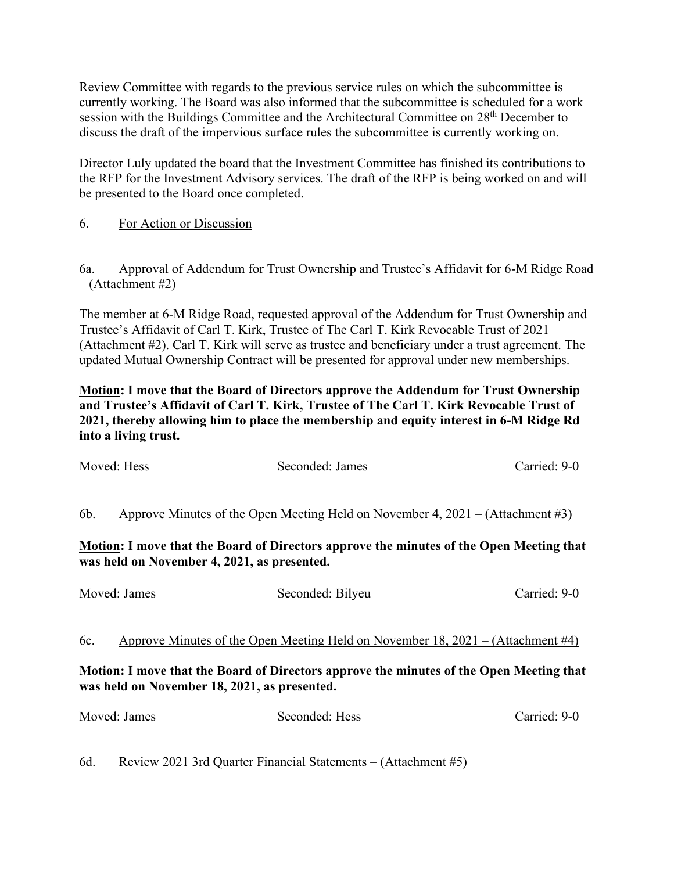Review Committee with regards to the previous service rules on which the subcommittee is currently working. The Board was also informed that the subcommittee is scheduled for a work session with the Buildings Committee and the Architectural Committee on 28<sup>th</sup> December to discuss the draft of the impervious surface rules the subcommittee is currently working on.

Director Luly updated the board that the Investment Committee has finished its contributions to the RFP for the Investment Advisory services. The draft of the RFP is being worked on and will be presented to the Board once completed.

## 6. For Action or Discussion

## 6a. Approval of Addendum for Trust Ownership and Trustee's Affidavit for 6-M Ridge Road  $-$  (Attachment #2)

The member at 6-M Ridge Road, requested approval of the Addendum for Trust Ownership and Trustee's Affidavit of Carl T. Kirk, Trustee of The Carl T. Kirk Revocable Trust of 2021 (Attachment #2). Carl T. Kirk will serve as trustee and beneficiary under a trust agreement. The updated Mutual Ownership Contract will be presented for approval under new memberships.

**Motion: I move that the Board of Directors approve the Addendum for Trust Ownership and Trustee's Affidavit of Carl T. Kirk, Trustee of The Carl T. Kirk Revocable Trust of 2021, thereby allowing him to place the membership and equity interest in 6-M Ridge Rd into a living trust.**

| Moved: Hess                                                                                                                                                                                                                               | Seconded: James                                                                 | Carried: 9-0 |  |  |  |
|-------------------------------------------------------------------------------------------------------------------------------------------------------------------------------------------------------------------------------------------|---------------------------------------------------------------------------------|--------------|--|--|--|
| Approve Minutes of the Open Meeting Held on November 4, $2021 - (Attachment \#3)$<br>6b.<br><b>Motion:</b> I move that the Board of Directors approve the minutes of the Open Meeting that<br>was held on November 4, 2021, as presented. |                                                                                 |              |  |  |  |
| Moved: James                                                                                                                                                                                                                              | Seconded: Bilyeu                                                                | Carried: 9-0 |  |  |  |
| 6c.                                                                                                                                                                                                                                       | Approve Minutes of the Open Meeting Held on November 18, 2021 – (Attachment #4) |              |  |  |  |
| Motion: I move that the Board of Directors approve the minutes of the Open Meeting that<br>was held on November 18, 2021, as presented.                                                                                                   |                                                                                 |              |  |  |  |
| Moved: James                                                                                                                                                                                                                              | Seconded: Hess                                                                  | Carried: 9-0 |  |  |  |

6d. Review 2021 3rd Quarter Financial Statements – (Attachment #5)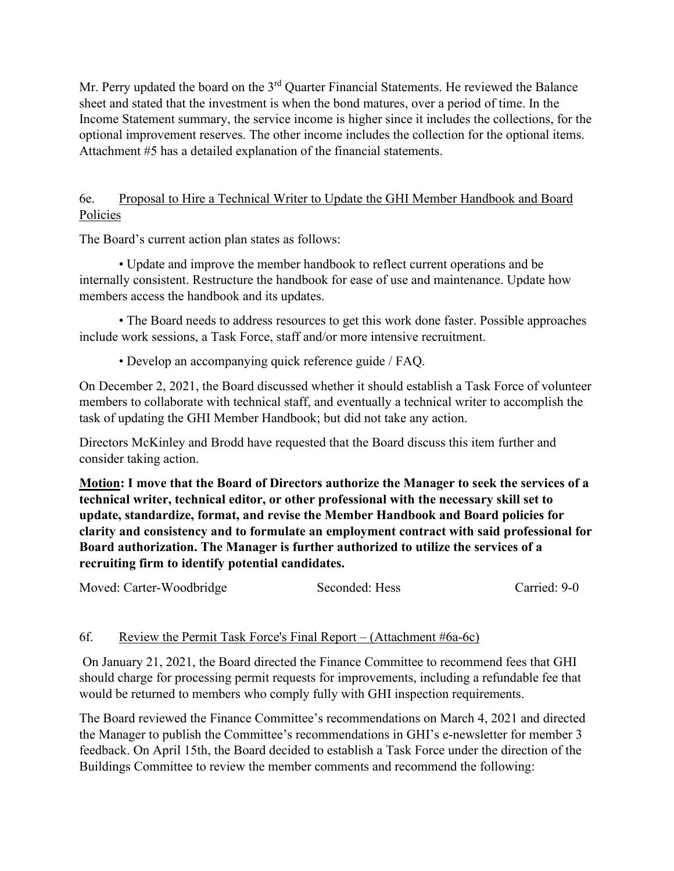Mr. Perry updated the board on the 3<sup>rd</sup> Quarter Financial Statements. He reviewed the Balance sheet and stated that the investment is when the bond matures, over a period of time. In the Income Statement summary, the service income is higher since it includes the collections, for the optional improvement reserves. The other income includes the collection for the optional items. Attachment #5 has a detailed explanation of the financial statements.

## 6e. Proposal to Hire a Technical Writer to Update the GHI Member Handbook and Board Policies

The Board's current action plan states as follows:

• Update and improve the member handbook to reflect current operations and be internally consistent. Restructure the handbook for ease of use and maintenance. Update how members access the handbook and its updates.

• The Board needs to address resources to get this work done faster. Possible approaches include work sessions, a Task Force, staff and/or more intensive recruitment.

• Develop an accompanying quick reference guide / FAQ.

On December 2, 2021, the Board discussed whether it should establish a Task Force of volunteer members to collaborate with technical staff, and eventually a technical writer to accomplish the task of updating the GHI Member Handbook; but did not take any action.

Directors McKinley and Brodd have requested that the Board discuss this item further and consider taking action.

**Motion: I move that the Board of Directors authorize the Manager to seek the services of a technical writer, technical editor, or other professional with the necessary skill set to update, standardize, format, and revise the Member Handbook and Board policies for clarity and consistency and to formulate an employment contract with said professional for Board authorization. The Manager is further authorized to utilize the services of a recruiting firm to identify potential candidates.**

Moved: Carter-Woodbridge Seconded: Hess Carried: 9-0

## 6f. Review the Permit Task Force's Final Report – (Attachment #6a-6c)

On January 21, 2021, the Board directed the Finance Committee to recommend fees that GHI should charge for processing permit requests for improvements, including a refundable fee that would be returned to members who comply fully with GHI inspection requirements.

The Board reviewed the Finance Committee's recommendations on March 4, 2021 and directed the Manager to publish the Committee's recommendations in GHI's e-newsletter for member 3 feedback. On April 15th, the Board decided to establish a Task Force under the direction of the Buildings Committee to review the member comments and recommend the following: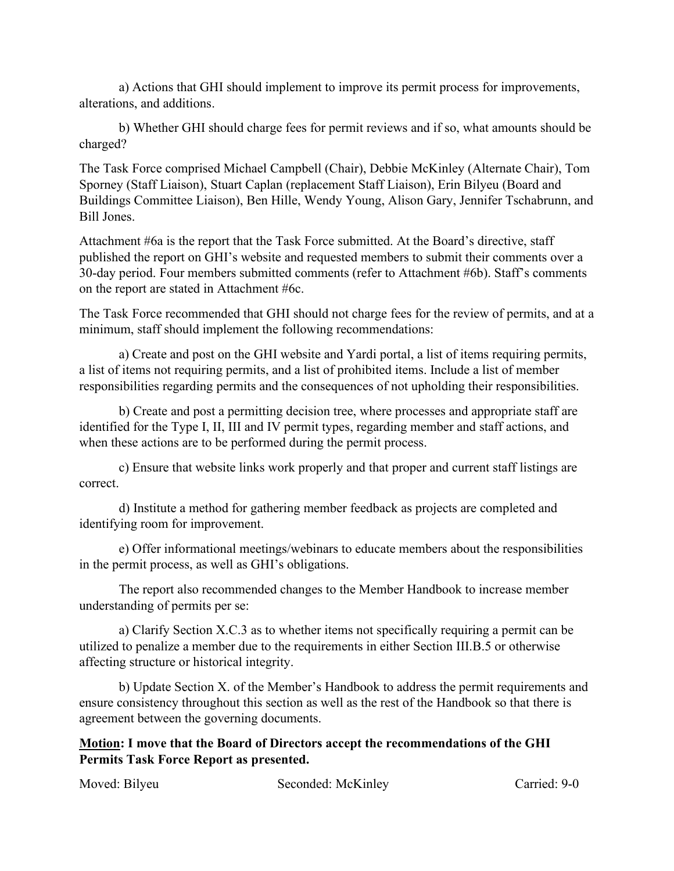a) Actions that GHI should implement to improve its permit process for improvements, alterations, and additions.

b) Whether GHI should charge fees for permit reviews and if so, what amounts should be charged?

The Task Force comprised Michael Campbell (Chair), Debbie McKinley (Alternate Chair), Tom Sporney (Staff Liaison), Stuart Caplan (replacement Staff Liaison), Erin Bilyeu (Board and Buildings Committee Liaison), Ben Hille, Wendy Young, Alison Gary, Jennifer Tschabrunn, and Bill Jones.

Attachment #6a is the report that the Task Force submitted. At the Board's directive, staff published the report on GHI's website and requested members to submit their comments over a 30-day period. Four members submitted comments (refer to Attachment #6b). Staff's comments on the report are stated in Attachment #6c.

The Task Force recommended that GHI should not charge fees for the review of permits, and at a minimum, staff should implement the following recommendations:

a) Create and post on the GHI website and Yardi portal, a list of items requiring permits, a list of items not requiring permits, and a list of prohibited items. Include a list of member responsibilities regarding permits and the consequences of not upholding their responsibilities.

b) Create and post a permitting decision tree, where processes and appropriate staff are identified for the Type I, II, III and IV permit types, regarding member and staff actions, and when these actions are to be performed during the permit process.

c) Ensure that website links work properly and that proper and current staff listings are correct.

d) Institute a method for gathering member feedback as projects are completed and identifying room for improvement.

e) Offer informational meetings/webinars to educate members about the responsibilities in the permit process, as well as GHI's obligations.

The report also recommended changes to the Member Handbook to increase member understanding of permits per se:

a) Clarify Section X.C.3 as to whether items not specifically requiring a permit can be utilized to penalize a member due to the requirements in either Section III.B.5 or otherwise affecting structure or historical integrity.

b) Update Section X. of the Member's Handbook to address the permit requirements and ensure consistency throughout this section as well as the rest of the Handbook so that there is agreement between the governing documents.

**Motion: I move that the Board of Directors accept the recommendations of the GHI Permits Task Force Report as presented.** 

Moved: Bilyeu Seconded: McKinley Carried: 9-0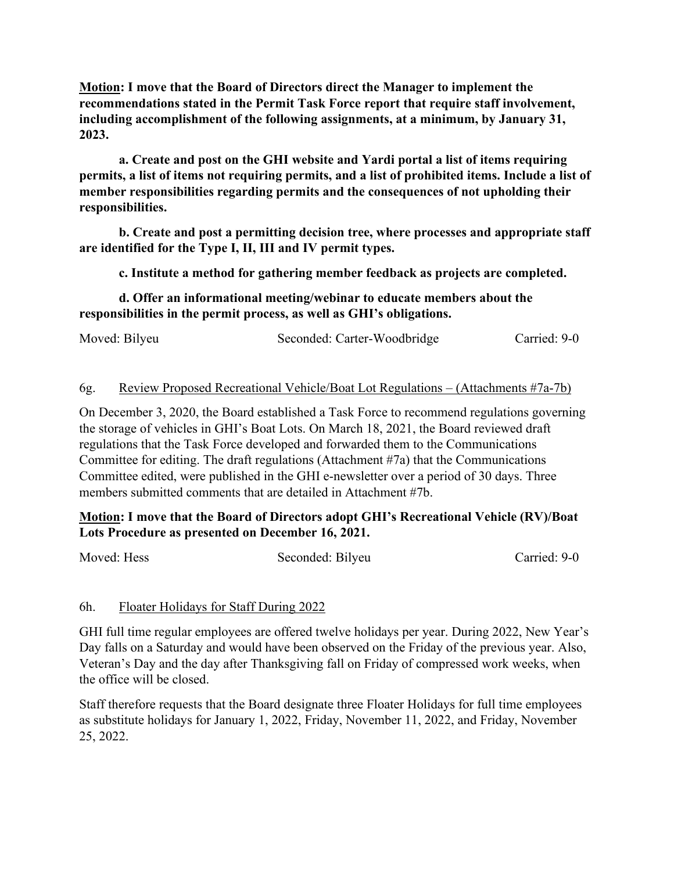**Motion: I move that the Board of Directors direct the Manager to implement the recommendations stated in the Permit Task Force report that require staff involvement, including accomplishment of the following assignments, at a minimum, by January 31, 2023.**

**a. Create and post on the GHI website and Yardi portal a list of items requiring permits, a list of items not requiring permits, and a list of prohibited items. Include a list of member responsibilities regarding permits and the consequences of not upholding their responsibilities.** 

**b. Create and post a permitting decision tree, where processes and appropriate staff are identified for the Type I, II, III and IV permit types.** 

**c. Institute a method for gathering member feedback as projects are completed.** 

**d. Offer an informational meeting/webinar to educate members about the responsibilities in the permit process, as well as GHI's obligations.** 

| Carried: 9-0<br>Moved: Bilyeu<br>Seconded: Carter-Woodbridge |
|--------------------------------------------------------------|
|--------------------------------------------------------------|

#### 6g. Review Proposed Recreational Vehicle/Boat Lot Regulations – (Attachments #7a-7b)

On December 3, 2020, the Board established a Task Force to recommend regulations governing the storage of vehicles in GHI's Boat Lots. On March 18, 2021, the Board reviewed draft regulations that the Task Force developed and forwarded them to the Communications Committee for editing. The draft regulations (Attachment #7a) that the Communications Committee edited, were published in the GHI e-newsletter over a period of 30 days. Three members submitted comments that are detailed in Attachment #7b.

## **Motion: I move that the Board of Directors adopt GHI's Recreational Vehicle (RV)/Boat Lots Procedure as presented on December 16, 2021.**

| Moved: Hess | Seconded: Bilyeu | Carried: 9-0 |
|-------------|------------------|--------------|
|             |                  |              |

#### 6h. Floater Holidays for Staff During 2022

GHI full time regular employees are offered twelve holidays per year. During 2022, New Year's Day falls on a Saturday and would have been observed on the Friday of the previous year. Also, Veteran's Day and the day after Thanksgiving fall on Friday of compressed work weeks, when the office will be closed.

Staff therefore requests that the Board designate three Floater Holidays for full time employees as substitute holidays for January 1, 2022, Friday, November 11, 2022, and Friday, November 25, 2022.